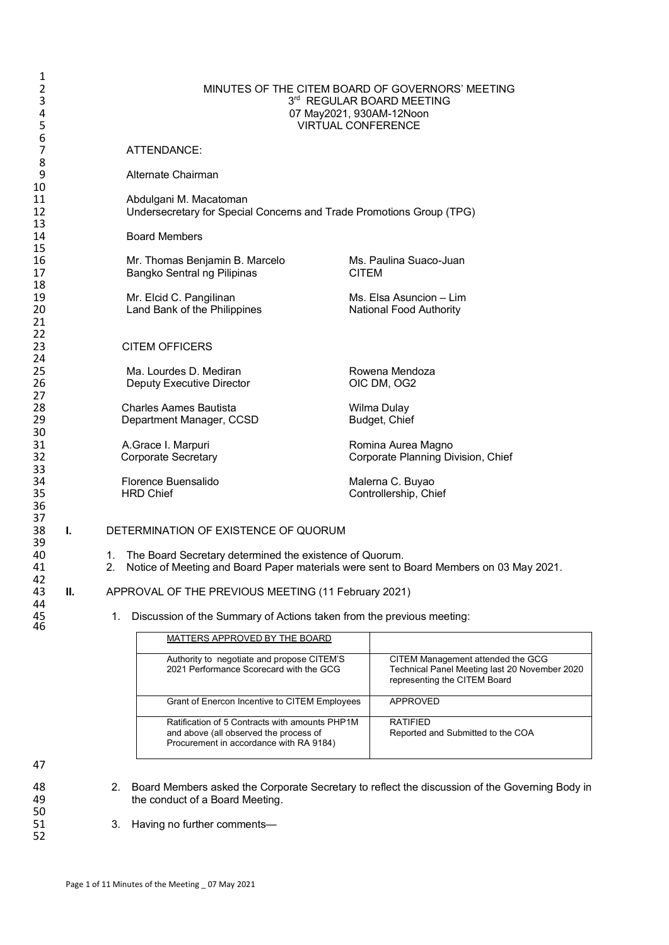| 1<br>2<br>3<br>4<br>5 | MINUTES OF THE CITEM BOARD OF GOVERNORS' MEETING<br>3rd REGULAR BOARD MEETING<br>07 May2021, 930AM-12Noon<br><b>VIRTUAL CONFERENCE</b> |                                                                                                                                                               |                                                                                       |              |                                                                                                                    |  |  |
|-----------------------|----------------------------------------------------------------------------------------------------------------------------------------|---------------------------------------------------------------------------------------------------------------------------------------------------------------|---------------------------------------------------------------------------------------|--------------|--------------------------------------------------------------------------------------------------------------------|--|--|
| 6<br>7                |                                                                                                                                        |                                                                                                                                                               | ATTENDANCE:                                                                           |              |                                                                                                                    |  |  |
| 8<br>9                |                                                                                                                                        |                                                                                                                                                               | Alternate Chairman                                                                    |              |                                                                                                                    |  |  |
| 10<br>11<br>12<br>13  |                                                                                                                                        | Undersecretary for Special Concerns and Trade Promotions Group (TPG)                                                                                          |                                                                                       |              |                                                                                                                    |  |  |
| 14<br>15              |                                                                                                                                        |                                                                                                                                                               | <b>Board Members</b>                                                                  |              |                                                                                                                    |  |  |
| 16<br>17              |                                                                                                                                        |                                                                                                                                                               | Mr. Thomas Benjamin B. Marcelo<br>Bangko Sentral ng Pilipinas                         | <b>CITEM</b> | Ms. Paulina Suaco-Juan                                                                                             |  |  |
| 18<br>19<br>20<br>21  |                                                                                                                                        |                                                                                                                                                               | Mr. Elcid C. Pangilinan<br>Land Bank of the Philippines                               |              | Ms. Elsa Asuncion - Lim<br>National Food Authority                                                                 |  |  |
| 22<br>23<br>24        |                                                                                                                                        |                                                                                                                                                               | <b>CITEM OFFICERS</b>                                                                 |              |                                                                                                                    |  |  |
| 25<br>26<br>27        |                                                                                                                                        |                                                                                                                                                               | Ma. Lourdes D. Mediran<br>Deputy Executive Director                                   |              | Rowena Mendoza<br>OIC DM, OG2                                                                                      |  |  |
| 28<br>29<br>30        |                                                                                                                                        |                                                                                                                                                               | <b>Charles Aames Bautista</b><br>Department Manager, CCSD                             |              | Wilma Dulay<br>Budget, Chief                                                                                       |  |  |
| 31<br>32<br>33        |                                                                                                                                        |                                                                                                                                                               | A.Grace I. Marpuri<br><b>Corporate Secretary</b>                                      |              | Romina Aurea Magno<br>Corporate Planning Division, Chief                                                           |  |  |
| 34<br>35<br>36        |                                                                                                                                        |                                                                                                                                                               | Florence Buensalido<br><b>HRD Chief</b>                                               |              | Malerna C. Buyao<br>Controllership, Chief                                                                          |  |  |
| 37<br>38<br>39        | L.                                                                                                                                     |                                                                                                                                                               | DETERMINATION OF EXISTENCE OF QUORUM                                                  |              |                                                                                                                    |  |  |
| 40<br>41              |                                                                                                                                        | The Board Secretary determined the existence of Quorum.<br>1.<br>2.<br>Notice of Meeting and Board Paper materials were sent to Board Members on 03 May 2021. |                                                                                       |              |                                                                                                                    |  |  |
| 42<br>43<br>44        | Ш.                                                                                                                                     |                                                                                                                                                               | APPROVAL OF THE PREVIOUS MEETING (11 February 2021)                                   |              |                                                                                                                    |  |  |
| 45<br>46              |                                                                                                                                        | 1.                                                                                                                                                            | Discussion of the Summary of Actions taken from the previous meeting:                 |              |                                                                                                                    |  |  |
|                       |                                                                                                                                        |                                                                                                                                                               | MATTERS APPROVED BY THE BOARD                                                         |              |                                                                                                                    |  |  |
|                       |                                                                                                                                        |                                                                                                                                                               | Authority to negotiate and propose CITEM'S<br>2021 Performance Scorecard with the GCG |              | CITEM Management attended the GCG<br>Technical Panel Meeting last 20 November 2020<br>representing the CITEM Board |  |  |

|                                                                                                                                     | representing the CITEM Board                         |
|-------------------------------------------------------------------------------------------------------------------------------------|------------------------------------------------------|
| Grant of Enercon Incentive to CITEM Employees                                                                                       | APPROVED                                             |
| Ratification of 5 Contracts with amounts PHP1M<br>and above (all observed the process of<br>Procurement in accordance with RA 9184) | <b>RATIFIFD</b><br>Reported and Submitted to the COA |

47

50

52

48 2. Board Members asked the Corporate Secretary to reflect the discussion of the Governing Body in 49 the conduct of a Board Meeting.

3. Having no further comments-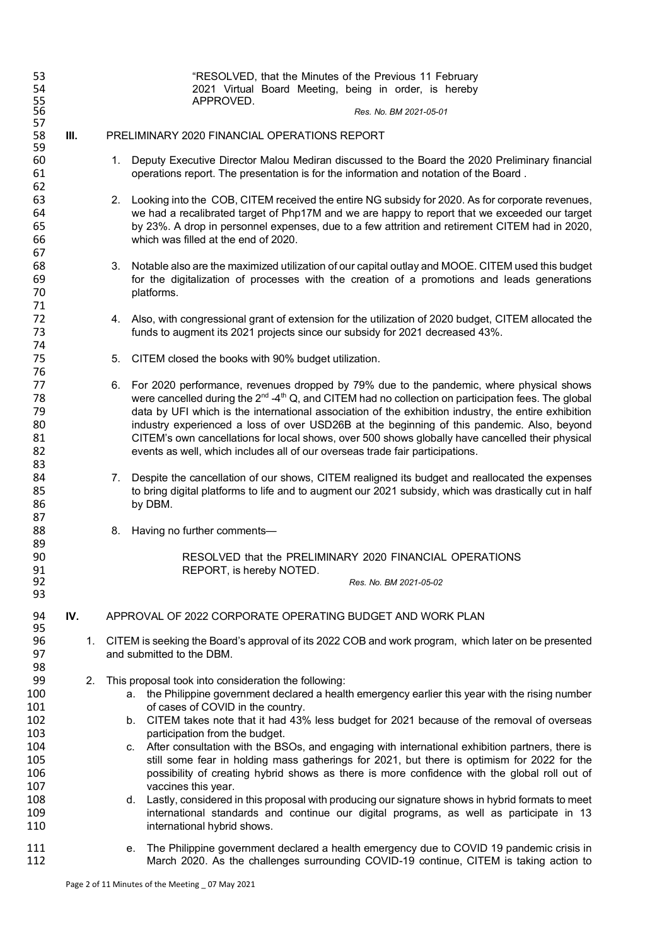| 53<br>54                                                                               |      |    | "RESOLVED, that the Minutes of the Previous 11 February<br>2021 Virtual Board Meeting, being in order, is hereby                                                                                                                                                                                                                                                                                                                                                                                                                                                                                                                                                                                                                                                                                                                                                                                                                                                                                     |
|----------------------------------------------------------------------------------------|------|----|------------------------------------------------------------------------------------------------------------------------------------------------------------------------------------------------------------------------------------------------------------------------------------------------------------------------------------------------------------------------------------------------------------------------------------------------------------------------------------------------------------------------------------------------------------------------------------------------------------------------------------------------------------------------------------------------------------------------------------------------------------------------------------------------------------------------------------------------------------------------------------------------------------------------------------------------------------------------------------------------------|
| 55<br>56<br>57                                                                         |      |    | APPROVED.<br>Res. No. BM 2021-05-01                                                                                                                                                                                                                                                                                                                                                                                                                                                                                                                                                                                                                                                                                                                                                                                                                                                                                                                                                                  |
| 58                                                                                     | III. |    | PRELIMINARY 2020 FINANCIAL OPERATIONS REPORT                                                                                                                                                                                                                                                                                                                                                                                                                                                                                                                                                                                                                                                                                                                                                                                                                                                                                                                                                         |
| 59<br>60<br>61                                                                         |      |    | 1. Deputy Executive Director Malou Mediran discussed to the Board the 2020 Preliminary financial<br>operations report. The presentation is for the information and notation of the Board.                                                                                                                                                                                                                                                                                                                                                                                                                                                                                                                                                                                                                                                                                                                                                                                                            |
| 62<br>63<br>64<br>65<br>66<br>67                                                       |      |    | Looking into the COB, CITEM received the entire NG subsidy for 2020. As for corporate revenues,<br>2.<br>we had a recalibrated target of Php17M and we are happy to report that we exceeded our target<br>by 23%. A drop in personnel expenses, due to a few attrition and retirement CITEM had in 2020,<br>which was filled at the end of 2020.                                                                                                                                                                                                                                                                                                                                                                                                                                                                                                                                                                                                                                                     |
| 68<br>69<br>70<br>71                                                                   |      |    | 3. Notable also are the maximized utilization of our capital outlay and MOOE. CITEM used this budget<br>for the digitalization of processes with the creation of a promotions and leads generations<br>platforms.                                                                                                                                                                                                                                                                                                                                                                                                                                                                                                                                                                                                                                                                                                                                                                                    |
| 72<br>73<br>74                                                                         |      |    | 4. Also, with congressional grant of extension for the utilization of 2020 budget, CITEM allocated the<br>funds to augment its 2021 projects since our subsidy for 2021 decreased 43%.                                                                                                                                                                                                                                                                                                                                                                                                                                                                                                                                                                                                                                                                                                                                                                                                               |
| 75                                                                                     |      |    | 5. CITEM closed the books with 90% budget utilization.                                                                                                                                                                                                                                                                                                                                                                                                                                                                                                                                                                                                                                                                                                                                                                                                                                                                                                                                               |
| 76<br>77<br>78<br>79<br>80<br>81<br>82                                                 |      |    | 6. For 2020 performance, revenues dropped by 79% due to the pandemic, where physical shows<br>were cancelled during the $2^{nd} - 4^{th}$ Q, and CITEM had no collection on participation fees. The global<br>data by UFI which is the international association of the exhibition industry, the entire exhibition<br>industry experienced a loss of over USD26B at the beginning of this pandemic. Also, beyond<br>CITEM's own cancellations for local shows, over 500 shows globally have cancelled their physical<br>events as well, which includes all of our overseas trade fair participations.                                                                                                                                                                                                                                                                                                                                                                                                |
| 83<br>84<br>85<br>86<br>87                                                             |      |    | Despite the cancellation of our shows, CITEM realigned its budget and reallocated the expenses<br>7.<br>to bring digital platforms to life and to augment our 2021 subsidy, which was drastically cut in half<br>by DBM.                                                                                                                                                                                                                                                                                                                                                                                                                                                                                                                                                                                                                                                                                                                                                                             |
| 88<br>89                                                                               |      |    | 8. Having no further comments-                                                                                                                                                                                                                                                                                                                                                                                                                                                                                                                                                                                                                                                                                                                                                                                                                                                                                                                                                                       |
| 90<br>91                                                                               |      |    | RESOLVED that the PRELIMINARY 2020 FINANCIAL OPERATIONS<br>REPORT, is hereby NOTED.                                                                                                                                                                                                                                                                                                                                                                                                                                                                                                                                                                                                                                                                                                                                                                                                                                                                                                                  |
| 92<br>93                                                                               |      |    | Res. No. BM 2021-05-02                                                                                                                                                                                                                                                                                                                                                                                                                                                                                                                                                                                                                                                                                                                                                                                                                                                                                                                                                                               |
| 94                                                                                     | IV.  |    | APPROVAL OF 2022 CORPORATE OPERATING BUDGET AND WORK PLAN                                                                                                                                                                                                                                                                                                                                                                                                                                                                                                                                                                                                                                                                                                                                                                                                                                                                                                                                            |
| 95<br>96<br>97<br>98                                                                   |      |    | 1. CITEM is seeking the Board's approval of its 2022 COB and work program, which later on be presented<br>and submitted to the DBM.                                                                                                                                                                                                                                                                                                                                                                                                                                                                                                                                                                                                                                                                                                                                                                                                                                                                  |
| 99<br>100<br>101<br>102<br>103<br>104<br>105<br>106<br>107<br>108<br>109<br>110<br>111 |      | 2. | This proposal took into consideration the following:<br>the Philippine government declared a health emergency earlier this year with the rising number<br>а.<br>of cases of COVID in the country.<br>b. CITEM takes note that it had 43% less budget for 2021 because of the removal of overseas<br>participation from the budget.<br>c. After consultation with the BSOs, and engaging with international exhibition partners, there is<br>still some fear in holding mass gatherings for 2021, but there is optimism for 2022 for the<br>possibility of creating hybrid shows as there is more confidence with the global roll out of<br>vaccines this year.<br>Lastly, considered in this proposal with producing our signature shows in hybrid formats to meet<br>d.<br>international standards and continue our digital programs, as well as participate in 13<br>international hybrid shows.<br>The Philippine government declared a health emergency due to COVID 19 pandemic crisis in<br>е. |
| 112                                                                                    |      |    | March 2020. As the challenges surrounding COVID-19 continue, CITEM is taking action to                                                                                                                                                                                                                                                                                                                                                                                                                                                                                                                                                                                                                                                                                                                                                                                                                                                                                                               |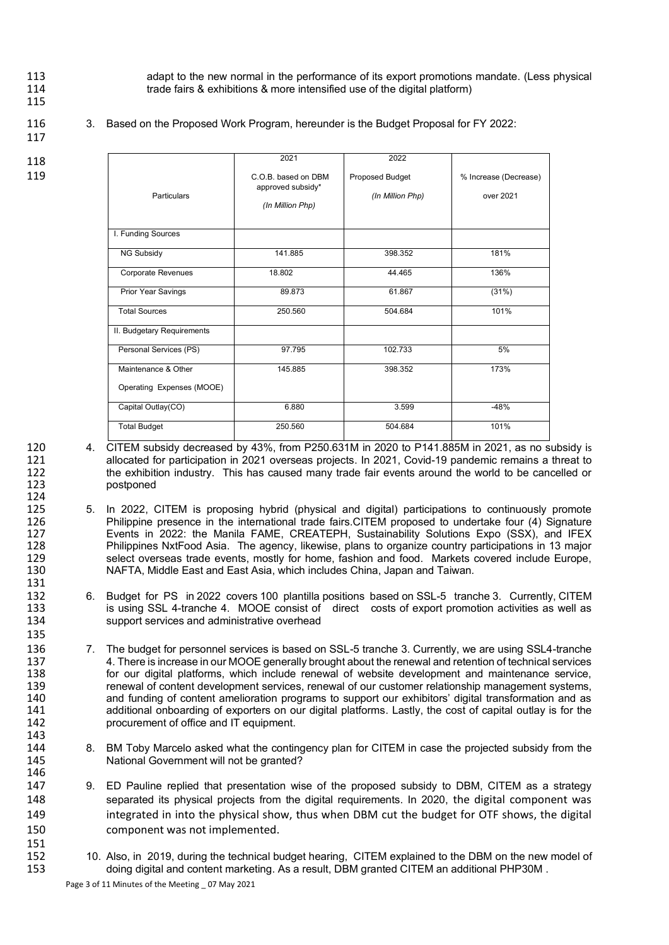- 
- 115

113 113 adapt to the new normal in the performance of its export promotions mandate. (Less physical<br>114 trade fairs & exhibitions & more intensified use of the digital platform) trade fairs & exhibitions & more intensified use of the digital platform)

117

116 3. Based on the Proposed Work Program, hereunder is the Budget Proposal for FY 2022:

- 118
- 119

124<br>125

131<br>132

135

143

146

151

|                            | 2021                                                         | 2022                                |                                    |
|----------------------------|--------------------------------------------------------------|-------------------------------------|------------------------------------|
| Particulars                | C.O.B. based on DBM<br>approved subsidy*<br>(In Million Php) | Proposed Budget<br>(In Million Php) | % Increase (Decrease)<br>over 2021 |
| I. Funding Sources         |                                                              |                                     |                                    |
| NG Subsidy                 | 141.885                                                      | 398.352                             | 181%                               |
| Corporate Revenues         | 18.802                                                       | 44.465                              | 136%                               |
| Prior Year Savings         | 89.873                                                       | 61.867                              | (31%)                              |
| <b>Total Sources</b>       | 250.560                                                      | 504.684                             | 101%                               |
| II. Budgetary Requirements |                                                              |                                     |                                    |
| Personal Services (PS)     | 97.795                                                       | 102.733                             | 5%                                 |
| Maintenance & Other        | 145.885                                                      | 398.352                             | 173%                               |
| Operating Expenses (MOOE)  |                                                              |                                     |                                    |
| Capital Outlay(CO)         | 6.880                                                        | 3.599                               | $-48%$                             |
| <b>Total Budget</b>        | 250.560                                                      | 504.684                             | 101%                               |

- 120 4. CITEM subsidy decreased by 43%, from P250.631M in 2020 to P141.885M in 2021, as no subsidy is 121 allocated for participation in 2021 overseas projects. In 2021, Covid-19 pandemic remains a threat to<br>122 the exhibition industry. This has caused many trade fair events around the world to be cancelled or 122 the exhibition industry. This has caused many trade fair events around the world to be cancelled or 123 postponed
- 125 5. In 2022, CITEM is proposing hybrid (physical and digital) participations to continuously promote<br>126 **126** Philippine presence in the international trade fairs.CITEM proposed to undertake four (4) Signature 126 Philippine presence in the international trade fairs.CITEM proposed to undertake four (4) Signature<br>127 Events in 2022: the Manila FAME, CREATEPH, Sustainability Solutions Expo (SSX), and IFEX 127 Events in 2022: the Manila FAME, CREATEPH, Sustainability Solutions Expo (SSX), and IFEX<br>128 Philippines NxtFood Asia. The agency, likewise, plans to organize country participations in 13 major 128 Philippines NxtFood Asia. The agency, likewise, plans to organize country participations in 13 major 129 select overseas trade events, mostly for home, fashion and food. Markets covered include Europe,<br>130 Sam The Nard Rast and East Asia, which includes China, Japan and Taiwan. 130 NAFTA, Middle East and East Asia, which includes China, Japan and Taiwan*.*
- 132 6. Budget for PS in 2022 covers 100 plantilla positions based on SSL-5 tranche 3. Currently, CITEM<br>133 is using SSL 4-tranche 4 MOOF consist of direct costs of export promotion activities as well as 133 is using SSL 4-tranche 4. MOOE consist of direct costs of export promotion activities as well as 134 support services and administrative overhead
- 136 7. The budget for personnel services is based on SSL-5 tranche 3. Currently, we are using SSL4-tranche<br>137 4. There is increase in our MOOE generally brought about the renewal and retention of technical services 137 4. There is increase in our MOOE generally brought about the renewal and retention of technical services<br>138 for our digital platforms, which include renewal of website development and maintenance service. for our digital platforms, which include renewal of website development and maintenance service, 139 renewal of content development services, renewal of our customer relationship management systems,<br>140 and funding of content amelioration programs to support our exhibitors' digital transformation and as and funding of content amelioration programs to support our exhibitors' digital transformation and as 141 additional onboarding of exporters on our digital platforms. Lastly, the cost of capital outlay is for the<br>142 concurement of office and IT equipment. procurement of office and IT equipment.
- 144 8. BM Toby Marcelo asked what the contingency plan for CITEM in case the projected subsidy from the 145 National Government will not be granted?
- 147 9. ED Pauline replied that presentation wise of the proposed subsidy to DBM, CITEM as a strategy 148 separated its physical projects from the digital requirements. In 2020, the digital component was 149 integrated in into the physical show, thus when DBM cut the budget for OTF shows, the digital 150 component was not implemented.
- 152 10. Also, in 2019, during the technical budget hearing, CITEM explained to the DBM on the new model of 153 153 doing digital and content marketing. As a result, DBM granted CITEM an additional PHP30M .

Page 3 of 11 Minutes of the Meeting \_ 07 May 2021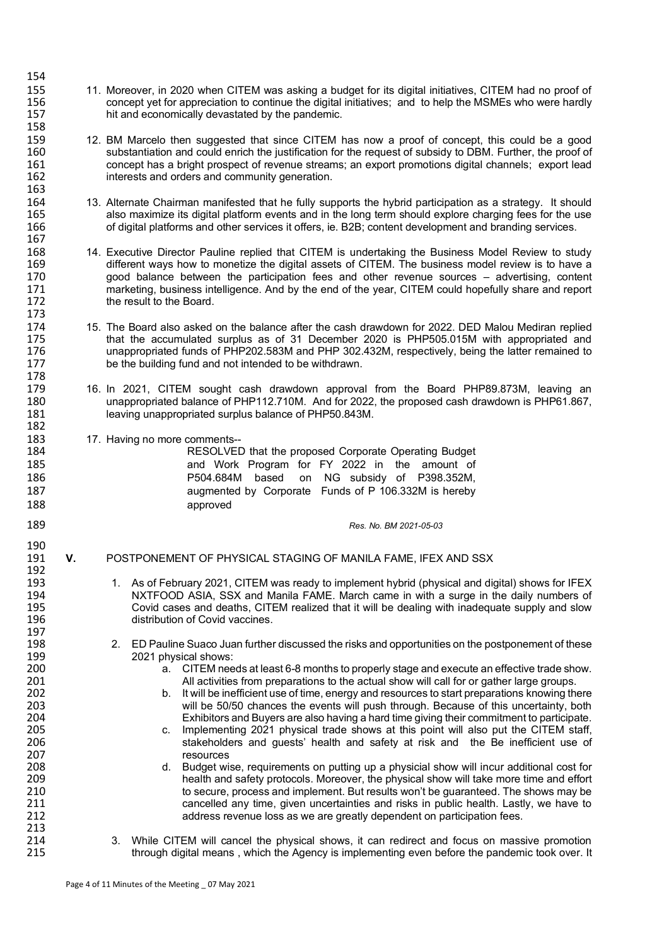- 155 155 11. Moreover, in 2020 when CITEM was asking a budget for its digital initiatives, CITEM had no proof of<br>156 156 concept vet for appreciation to continue the digital initiatives: and to help the MSMEs who were hardl concept yet for appreciation to continue the digital initiatives; and to help the MSMEs who were hardly 157 hit and economically devastated by the pandemic. 158<br>159
- 159 12. BM Marcelo then suggested that since CITEM has now a proof of concept, this could be a good<br>160 substantiation and could enrich the justification for the request of subsidy to DBM. Further, the proof of 160 substantiation and could enrich the justification for the request of subsidy to DBM. Further, the proof of<br>161 concept has a bright prospect of revenue streams: an export promotions digital channels: export lead 161 concept has a bright prospect of revenue streams; an export promotions digital channels; export lead<br>162 interests and orders and community generation. interests and orders and community generation.
- 164 13. Alternate Chairman manifested that he fully supports the hybrid participation as a strategy. It should<br>165 also maximize its digital platform events and in the long term should explore charging fees for the use 165 also maximize its digital platform events and in the long term should explore charging fees for the use<br>166 for the digital platforms and other services it offers, ie. B2B; content development and branding services of digital platforms and other services it offers, ie. B2B; content development and branding services.
- 167<br>168 168 14. Executive Director Pauline replied that CITEM is undertaking the Business Model Review to study 169 different ways how to monetize the digital assets of CITEM. The business model review is to have a<br>170 sources and principal assets and other revenue sources – advertising, content 170 good balance between the participation fees and other revenue sources – advertising, content 171 171 marketing, business intelligence. And by the end of the year, CITEM could hopefully share and report 172 the result to the Board. 173<br>174
- 174 15. The Board also asked on the balance after the cash drawdown for 2022. DED Malou Mediran replied<br>175 that the accumulated surplus as of 31 December 2020 is PHP505.015M with appropriated and 175 that the accumulated surplus as of 31 December 2020 is PHP505.015M with appropriated and<br>176 unappropriated funds of PHP202.583M and PHP 302.432M, respectively, being the latter remained to 176 unappropriated funds of PHP202.583M and PHP 302.432M, respectively, being the latter remained to 177 bethe building fund and not intended to be withdrawn. be the building fund and not intended to be withdrawn.
- 179 16. In 2021, CITEM sought cash drawdown approval from the Board PHP89.873M, leaving an 180 180 unappropriated balance of PHP112.710M. And for 2022, the proposed cash drawdown is PHP61.867,<br>181 eaving unappropriated surplus balance of PHP50.843M leaving unappropriated surplus balance of PHP50.843M.
- 183 17. Having no more comments--<br>184 **RESOLVED**
- 

197<br>198

213<br>214

178<br>179

182

154

163<br>164

- 184 **RESOLVED** that the proposed Corporate Operating Budget 185<br>185 **185** and Work Program for FY 2022 in the amount of and Work Program for FY 2022 in the amount of 186 P504.684M based on NG subsidy of P398.352M, 187 **187** augmented by Corporate Funds of P 106.332M is hereby<br>188 approved
- 189 *Res. No. BM 2021-05-03*
- 190<br>191 **V.** POSTPONEMENT OF PHYSICAL STAGING OF MANILA FAME, IFEX AND SSX 192<br>193
- 193 1. As of February 2021, CITEM was ready to implement hybrid (physical and digital) shows for IFEX<br>194 194 194 194 NXTFOOD ASIA, SSX and Manila FAME, March came in with a surge in the daily numbers of 194 **NXTFOOD ASIA, SSX and Manila FAME.** March came in with a surge in the daily numbers of 195<br>195 Covid cases and deaths, CITEM realized that it will be dealing with inadequate supply and slow 195 Covid cases and deaths, CITEM realized that it will be dealing with inadequate supply and slow<br>196 distribution of Covid vaccines. distribution of Covid vaccines.
- 198 2. ED Pauline Suaco Juan further discussed the risks and opportunities on the postponement of these<br>199 2021 physical shows: 199 2021 physical shows:<br>200 a. CITEM nee
- 200 **a.** CITEM needs at least 6-8 months to properly stage and execute an effective trade show.<br>201 **a** All activities from preparations to the actual show will call for or gather large groups. 201 201 All activities from preparations to the actual show will call for or gather large groups.<br>202 b. It will be inefficient use of time, energy and resources to start preparations knowing the
- 202 b. It will be inefficient use of time, energy and resources to start preparations knowing there<br>203 will be 50/50 chances the events will push through. Because of this uncertainty, both 203 will be 50/50 chances the events will push through. Because of this uncertainty, both<br>204 Exhibitors and Buyers are also having a hard time giving their commitment to participate. 204 Exhibitors and Buyers are also having a hard time giving their commitment to participate.
- 205 c. Implementing 2021 physical trade shows at this point will also put the CITEM staff,<br>206 stakeholders and guests' health and safety at risk and the Be inefficient use of 206 stakeholders and guests' health and safety at risk and the Be inefficient use of
- 207 resources 208 d. Budget wise, requirements on putting up a physicial show will incur additional cost for<br>209 health and safety protocols. Moreover, the physical show will take more time and effort 209 health and safety protocols. Moreover, the physical show will take more time and effort<br>210 https secure, process and implement. But results won't be quaranteed. The shows may be 210 to secure, process and implement. But results won't be guaranteed. The shows may be<br>211 cancelled any time, given uncertainties and risks in public health. Lastly, we have to 211 cancelled any time, given uncertainties and risks in public health. Lastly, we have to<br>212 cancelled any time, given uncertainties and risks in public health. Lastly, we have to address revenue loss as we are greatly dependent on participation fees.
- 214 3. While CITEM will cancel the physical shows, it can redirect and focus on massive promotion<br>215 through digital means, which the Agency is implementing even before the pandemic took over. It through digital means, which the Agency is implementing even before the pandemic took over. It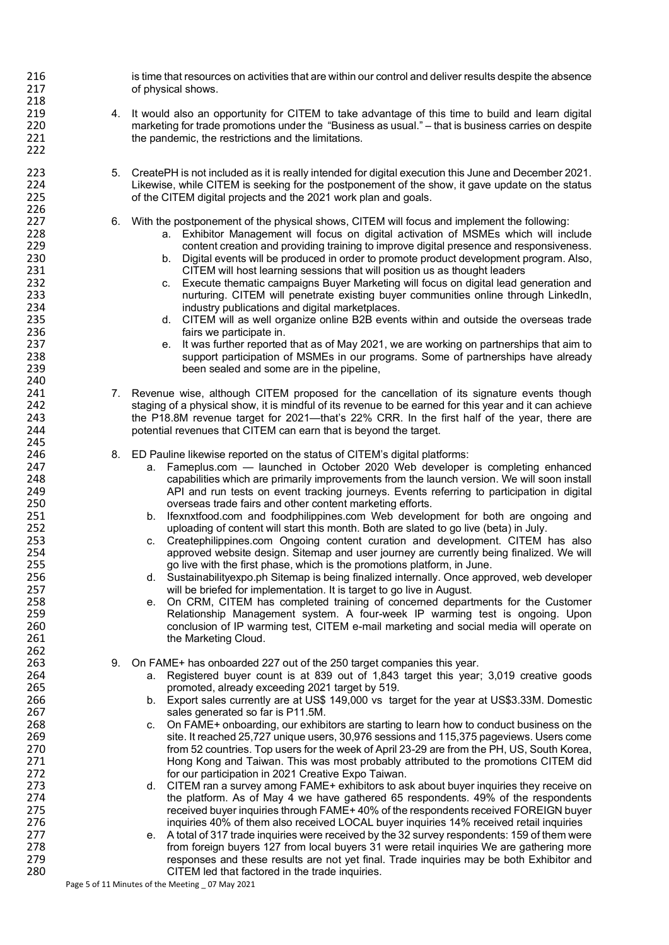216 is time that resources on activities that are within our control and deliver results despite the absence<br>217 of physical shows. of physical shows. 218 219 4. It would also an opportunity for CITEM to take advantage of this time to build and learn digital<br>220 marketing for trade promotions under the "Business as usual." – that is business carries on despite marketing for trade promotions under the "Business as usual." – that is business carries on despite 221 the pandemic, the restrictions and the limitations. 222 223 5. CreatePH is not included as it is really intended for digital execution this June and December 2021. 224 Likewise, while CITEM is seeking for the postponement of the show, it gave update on the status<br>225 of the CITEM digital projects and the 2021 work plan and goals. of the CITEM digital projects and the 2021 work plan and goals. 226<br>227 227 6. With the postponement of the physical shows, CITEM will focus and implement the following:<br>228 **1998 1228** a. Exhibitor Management will focus on digital activation of MSMEs which will inc 228 a. Exhibitor Management will focus on digital activation of MSMEs which will include<br>229 content creation and providing training to improve digital presence and responsiveness. content creation and providing training to improve digital presence and responsiveness. 230 b. Digital events will be produced in order to promote product development program. Also,<br>231 CITEM will host learning sessions that will position us as thought leaders 231 CITEM will host learning sessions that will position us as thought leaders<br>232 C. Execute thematic campaigns Buyer Marketing will focus on digital lead g 232 c. Execute thematic campaigns Buyer Marketing will focus on digital lead generation and<br>233 communities online through LinkedIn. 233 hurturing. CITEM will penetrate existing buyer communities online through LinkedIn,<br>234 hurdustry publications and digital marketplaces. industry publications and digital marketplaces. 235 d. CITEM will as well organize online B2B events within and outside the overseas trade<br>236 fairs we participate in. 236 **fairs we participate in.**<br>237 **fairs we participate in** e. It was further reported 237 e. It was further reported that as of May 2021, we are working on partnerships that aim to<br>238 support participation of MSMEs in our programs. Some of partnerships have already 238 support participation of MSMEs in our programs. Some of partnerships have already<br>239 seem sealed and some are in the pipeline. been sealed and some are in the pipeline, 240<br>241 241 7. Revenue wise, although CITEM proposed for the cancellation of its signature events though 242<br>242 staging of a physical show, it is mindful of its revenue to be earned for this vear and it can achieve 242 staging of a physical show, it is mindful of its revenue to be earned for this year and it can achieve<br>243 the P18.8M revenue target for 2021—that's 22% CRR. In the first half of the year, there are the P18.8M revenue target for 2021—that's 22% CRR. In the first half of the year, there are 244 potential revenues that CITEM can earn that is beyond the target. 245<br>246 246 8. ED Pauline likewise reported on the status of CITEM's digital platforms:<br>247 **247** a. Fameplus.com — launched in October 2020 Web developer 247 a. Fameplus.com — launched in October 2020 Web developer is completing enhanced<br>248 capabilities which are primarily improvements from the launch version. We will soon install 248 capabilities which are primarily improvements from the launch version. We will soon install 249 **API and run tests on event tracking journeys**. Events referring to participation in digital 250 overseas trade fairs and other content marketing efforts. 251 b. Ifexnxtfood.com and foodphilippines.com Web development for both are ongoing and uploading of content will start this month. Both are slated to go live (beta) in July. uploading of content will start this month. Both are slated to go live (beta) in July.<br>253 c. Createphilippines.com Ongoing content curation and development. CITEM 253 c. Createphilippines.com Ongoing content curation and development. CITEM has also<br>254 c. proved website design. Sitemap and user journey are currently being finalized. We will 254 approved website design. Sitemap and user journey are currently being finalized. We will<br>255 approved with the first phase, which is the promotions platform, in June. 255 go live with the first phase, which is the promotions platform, in June.<br>256 d. Sustainabilityexpo.ph Sitemap is being finalized internally. Once appr 256 d. Sustainabilityexpo.ph Sitemap is being finalized internally. Once approved, web developer<br>257 viil be briefed for implementation. It is target to go live in August. 257 will be briefed for implementation. It is target to go live in August.<br>258 e. On CRM. CITEM has completed training of concerned depart 258 e. On CRM, CITEM has completed training of concerned departments for the Customer<br>259 entity Relationship Management system. A four-week IP warming test is ongoing. Upon 259 259 Relationship Management system. A four-week IP warming test is ongoing. Upon<br>260 260 Conclusion of IP warming test. CITEM e-mail marketing and social media will operate on 260 conclusion of IP warming test, CITEM e-mail marketing and social media will operate on 261 **the Marketing Cloud.** 262 263 9. On FAME+ has onboarded 227 out of the 250 target companies this year. 264 a. Registered buyer count is at 839 out of 1,843 target this year; 3,019 creative goods 265 **promoted, already exceeding 2021 target by 519.**<br>266 **property** b. Export sales currently are at US\$ 149,000 vs tar 266 b. Export sales currently are at US\$ 149,000 vs target for the year at US\$3.33M. Domestic 267 267 sales generated so far is P11.5M.<br>268 c. On FAME+ onboarding, our exhibi 268 c. On FAME+ onboarding, our exhibitors are starting to learn how to conduct business on the<br>269 c. it reached 25,727 unique users, 30,976 sessions and 115,375 pageviews. Users come site. It reached 25,727 unique users, 30,976 sessions and 115,375 pageviews. Users come 270 from 52 countries. Top users for the week of April 23-29 are from the PH, US, South Korea,<br>271 flong Kong and Taiwan. This was most probably attributed to the promotions CITEM did Hong Kong and Taiwan. This was most probably attributed to the promotions CITEM did 272 for our participation in 2021 Creative Expo Taiwan. 273 d. CITEM ran a survey among FAME+ exhibitors to ask about buyer inquiries they receive on<br>274 the platform. As of May 4 we have gathered 65 respondents. 49% of the respondents 274 the platform. As of May 4 we have gathered 65 respondents. 49% of the respondents<br>275 contract the respondents received FOREIGN buyer 275 **received buyer inquiries through FAME+ 40% of the respondents received FOREIGN buyer**<br>276 **hought the reading and the response to the respondent of the respondent of the inquiries 14% received retail inquiries** inquiries 40% of them also received LOCAL buyer inquiries 14% received retail inquiries<br>277 https://e. A total of 317 trade inquiries were received by the 32 survey respondents: 159 of them were 277 e. A total of 317 trade inquiries were received by the 32 survey respondents: 159 of them were<br>278 from foreign buyers 127 from local buyers 31 were retail inquiries We are gathering more 278 from foreign buyers 127 from local buyers 31 were retail inquiries We are gathering more<br>279 fresponses and these results are not yet final. Trade inquiries may be both Exhibitor and responses and these results are not yet final. Trade inquiries may be both Exhibitor and 280 CITEM led that factored in the trade inquiries.

Page 5 of 11 Minutes of the Meeting \_ 07 May 2021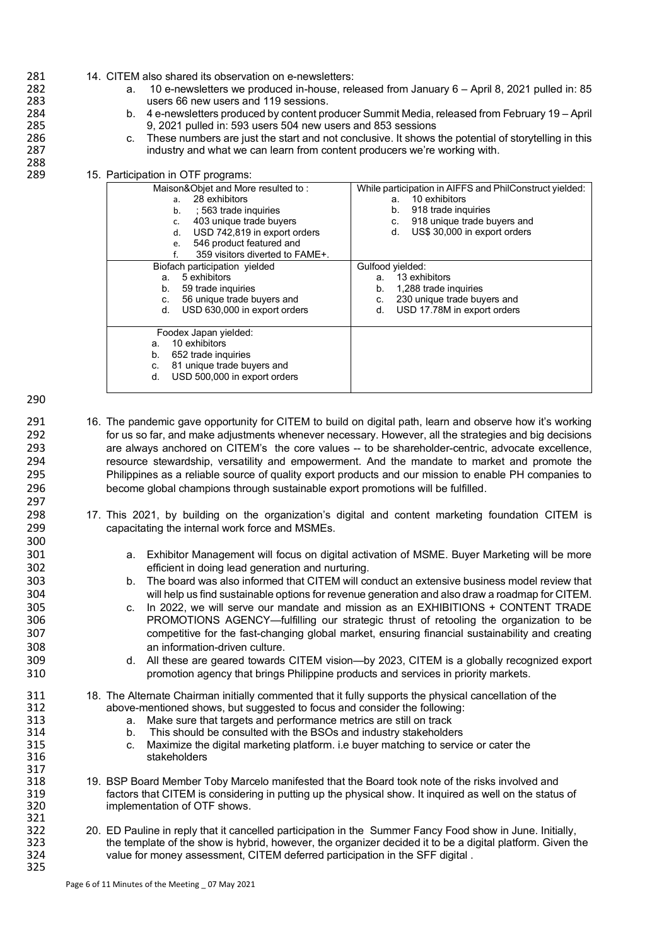- 281 14. CITEM also shared its observation on e-newsletters:<br>282 10 e-newsletters we produced in-house, rel
- 282 a. 10 e-newsletters we produced in-house, released from January 6 April 8, 2021 pulled in: 85<br>283 setting users 66 new users and 119 sessions. users 66 new users and 119 sessions.
- 284 b. 4 e-newsletters produced by content producer Summit Media, released from February 19 April 9, 2021 pulled in: 593 users 504 new users and 853 sessions
- 286 c. These numbers are just the start and not conclusive. It shows the potential of storytelling in this 287 industry and what we can learn from content producers we're working with.

## 15. Participation in OTF programs:

| Maison&Objet and More resulted to:<br>28 exhibitors<br>a.<br>563 trade inquiries<br>b.<br>403 unique trade buyers<br>c.<br>USD 742,819 in export orders<br>d.<br>546 product featured and<br>e.<br>359 visitors diverted to FAME+. | While participation in AIFFS and PhilConstruct yielded:<br>10 exhibitors<br>а.<br>918 trade inquiries<br>b.<br>918 unique trade buyers and<br>C.<br>US\$ 30,000 in export orders<br>d. |
|------------------------------------------------------------------------------------------------------------------------------------------------------------------------------------------------------------------------------------|----------------------------------------------------------------------------------------------------------------------------------------------------------------------------------------|
| Biofach participation yielded<br>5 exhibitors<br>a.<br>59 trade inquiries<br>b.<br>56 unique trade buyers and<br>C.<br>USD 630,000 in export orders<br>d.                                                                          | Gulfood vielded:<br>13 exhibitors<br>а.<br>1,288 trade inquiries<br>b.<br>230 unique trade buyers and<br>C.<br>USD 17.78M in export orders<br>d.                                       |
| Foodex Japan yielded:<br>10 exhibitors<br>a.<br>652 trade inquiries<br>b.<br>81 unique trade buyers and<br>c.<br>USD 500,000 in export orders<br>d.                                                                                |                                                                                                                                                                                        |

290

297<br>298

300

317<br>318

321

325

288<br>289

- 291 16. The pandemic gave opportunity for CITEM to build on digital path, learn and observe how it's working<br>292 for us so far, and make adiustments whenever necessary. However, all the strategies and big decisions 292 for us so far, and make adjustments whenever necessary. However, all the strategies and big decisions<br>293 are always anchored on CITEM's the core values -- to be shareholder-centric, advocate excellence. 293 are always anchored on CITEM's the core values -- to be shareholder-centric, advocate excellence,<br>294 resource stewardship, versatility and empowerment. And the mandate to market and promote the 294 resource stewardship, versatility and empowerment. And the mandate to market and promote the<br>295 Philippines as a reliable source of quality export products and our mission to enable PH companies to Philippines as a reliable source of quality export products and our mission to enable PH companies to 296 become global champions through sustainable export promotions will be fulfilled.
- 17. This 2021, by building on the organization's digital and content marketing foundation CITEM is 299 capacitating the internal work force and MSMEs.
- 301 a. Exhibitor Management will focus on digital activation of MSME. Buyer Marketing will be more 302 efficient in doing lead generation and nurturing.
- 303 b. The board was also informed that CITEM will conduct an extensive business model review that 304 will help us find sustainable options for revenue generation and also draw a roadmap for CITEM.
- 305 c. In 2022, we will serve our mandate and mission as an EXHIBITIONS + CONTENT TRADE<br>306 **PROMOTIONS AGENCY—fulfilling our strategic thrust** of retooling the organization to be PROMOTIONS AGENCY—fulfilling our strategic thrust of retooling the organization to be 307 competitive for the fast-changing global market, ensuring financial sustainability and creating<br>308 an information-driven culture 308 an information-driven culture.<br>309 d. All these are geared towards
- d. All these are geared towards CITEM vision—by 2023, CITEM is a globally recognized export 310 promotion agency that brings Philippine products and services in priority markets.
- 311 18. The Alternate Chairman initially commented that it fully supports the physical cancellation of the 312
- 312 above-mentioned shows, but suggested to focus and consider the following:
- 313 a. Make sure that targets and performance metrics are still on track<br>314 b. This should be consulted with the BSOs and industry stakeholde
- 314 b. This should be consulted with the BSOs and industry stakeholders<br>315 c. Maximize the digital marketing platform, i.e buver matching to service
- 315 c. Maximize the digital marketing platform. i.e buyer matching to service or cater the stakeholders
- 318 19. BSP Board Member Toby Marcelo manifested that the Board took note of the risks involved and<br>319 factors that CITEM is considering in putting up the physical show. It inguired as well on the status 319 factors that CITEM is considering in putting up the physical show. It inquired as well on the status of 320 implementation of OTF shows.
- 322 20. ED Pauline in reply that it cancelled participation in the Summer Fancy Food show in June. Initially,<br>323 the template of the show is hybrid, however, the organizer decided it to be a digital platform. Given the 323 the template of the show is hybrid, however, the organizer decided it to be a digital platform. Given the<br>324 value for money assessment. CITEM deferred participation in the SFF digital. value for money assessment, CITEM deferred participation in the SFF digital.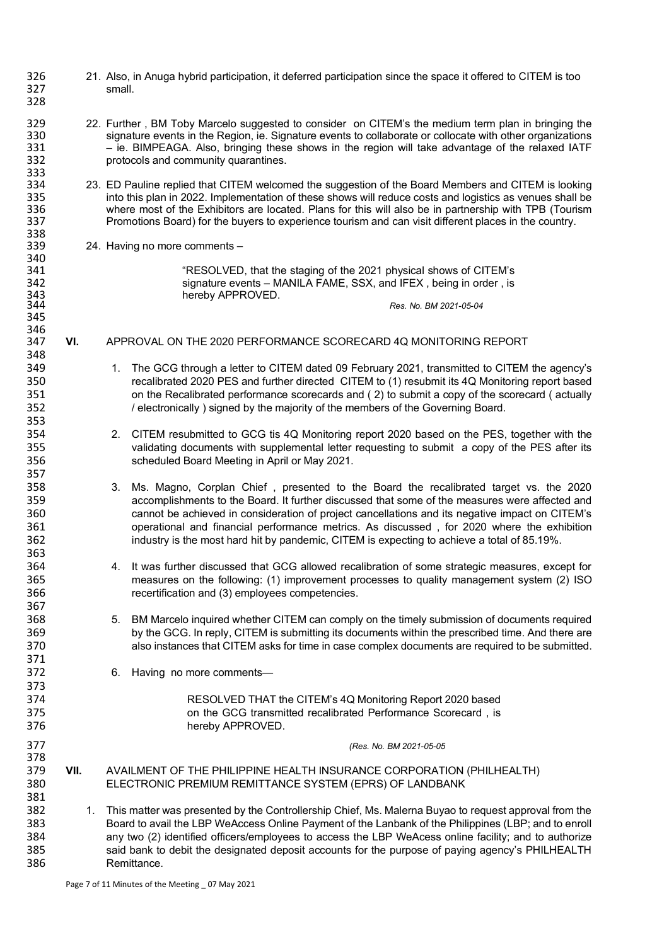| 326<br>327<br>328                      |      | 21. Also, in Anuga hybrid participation, it deferred participation since the space it offered to CITEM is too<br>small.                                                                                                                                                                                                                                                                                                                                                                       |
|----------------------------------------|------|-----------------------------------------------------------------------------------------------------------------------------------------------------------------------------------------------------------------------------------------------------------------------------------------------------------------------------------------------------------------------------------------------------------------------------------------------------------------------------------------------|
| 329<br>330<br>331<br>332<br>333        |      | 22. Further, BM Toby Marcelo suggested to consider on CITEM's the medium term plan in bringing the<br>signature events in the Region, ie. Signature events to collaborate or collocate with other organizations<br>- ie. BIMPEAGA. Also, bringing these shows in the region will take advantage of the relaxed IATF<br>protocols and community quarantines.                                                                                                                                   |
| 334<br>335<br>336<br>337<br>338        |      | 23. ED Pauline replied that CITEM welcomed the suggestion of the Board Members and CITEM is looking<br>into this plan in 2022. Implementation of these shows will reduce costs and logistics as venues shall be<br>where most of the Exhibitors are located. Plans for this will also be in partnership with TPB (Tourism<br>Promotions Board) for the buyers to experience tourism and can visit different places in the country.                                                            |
| 339<br>340                             |      | 24. Having no more comments -                                                                                                                                                                                                                                                                                                                                                                                                                                                                 |
| 341<br>342<br>343                      |      | "RESOLVED, that the staging of the 2021 physical shows of CITEM's<br>signature events - MANILA FAME, SSX, and IFEX, being in order, is<br>hereby APPROVED.                                                                                                                                                                                                                                                                                                                                    |
| 344<br>345                             |      | Res. No. BM 2021-05-04                                                                                                                                                                                                                                                                                                                                                                                                                                                                        |
| 346<br>347<br>348                      | VI.  | APPROVAL ON THE 2020 PERFORMANCE SCORECARD 4Q MONITORING REPORT                                                                                                                                                                                                                                                                                                                                                                                                                               |
| 349<br>350<br>351<br>352               |      | 1. The GCG through a letter to CITEM dated 09 February 2021, transmitted to CITEM the agency's<br>recalibrated 2020 PES and further directed CITEM to (1) resubmit its 4Q Monitoring report based<br>on the Recalibrated performance scorecards and (2) to submit a copy of the scorecard (actually<br>/ electronically ) signed by the majority of the members of the Governing Board.                                                                                                       |
| 353<br>354<br>355<br>356<br>357        |      | 2. CITEM resubmitted to GCG tis 4Q Monitoring report 2020 based on the PES, together with the<br>validating documents with supplemental letter requesting to submit a copy of the PES after its<br>scheduled Board Meeting in April or May 2021.                                                                                                                                                                                                                                              |
| 358<br>359<br>360<br>361<br>362<br>363 |      | 3.<br>Ms. Magno, Corplan Chief, presented to the Board the recalibrated target vs. the 2020<br>accomplishments to the Board. It further discussed that some of the measures were affected and<br>cannot be achieved in consideration of project cancellations and its negative impact on CITEM's<br>operational and financial performance metrics. As discussed, for 2020 where the exhibition<br>industry is the most hard hit by pandemic, CITEM is expecting to achieve a total of 85.19%. |
| 364<br>365<br>366                      |      | 4. It was further discussed that GCG allowed recalibration of some strategic measures, except for<br>measures on the following: (1) improvement processes to quality management system (2) ISO<br>recertification and (3) employees competencies.                                                                                                                                                                                                                                             |
| 367<br>368<br>369<br>370<br>371        |      | BM Marcelo inquired whether CITEM can comply on the timely submission of documents required<br>5.<br>by the GCG. In reply, CITEM is submitting its documents within the prescribed time. And there are<br>also instances that CITEM asks for time in case complex documents are required to be submitted.                                                                                                                                                                                     |
| 372<br>373                             |      | Having no more comments-<br>6.                                                                                                                                                                                                                                                                                                                                                                                                                                                                |
| 374<br>375<br>376                      |      | RESOLVED THAT the CITEM's 4Q Monitoring Report 2020 based<br>on the GCG transmitted recalibrated Performance Scorecard, is<br>hereby APPROVED.                                                                                                                                                                                                                                                                                                                                                |
| 377<br>378                             |      | (Res. No. BM 2021-05-05                                                                                                                                                                                                                                                                                                                                                                                                                                                                       |
| 379<br>380<br>381                      | VII. | AVAILMENT OF THE PHILIPPINE HEALTH INSURANCE CORPORATION (PHILHEALTH)<br>ELECTRONIC PREMIUM REMITTANCE SYSTEM (EPRS) OF LANDBANK                                                                                                                                                                                                                                                                                                                                                              |
| 382<br>383<br>384<br>385<br>386        |      | 1. This matter was presented by the Controllership Chief, Ms. Malerna Buyao to request approval from the<br>Board to avail the LBP WeAccess Online Payment of the Lanbank of the Philippines (LBP; and to enroll<br>any two (2) identified officers/employees to access the LBP WeAcess online facility; and to authorize<br>said bank to debit the designated deposit accounts for the purpose of paying agency's PHILHEALTH<br>Remittance.                                                  |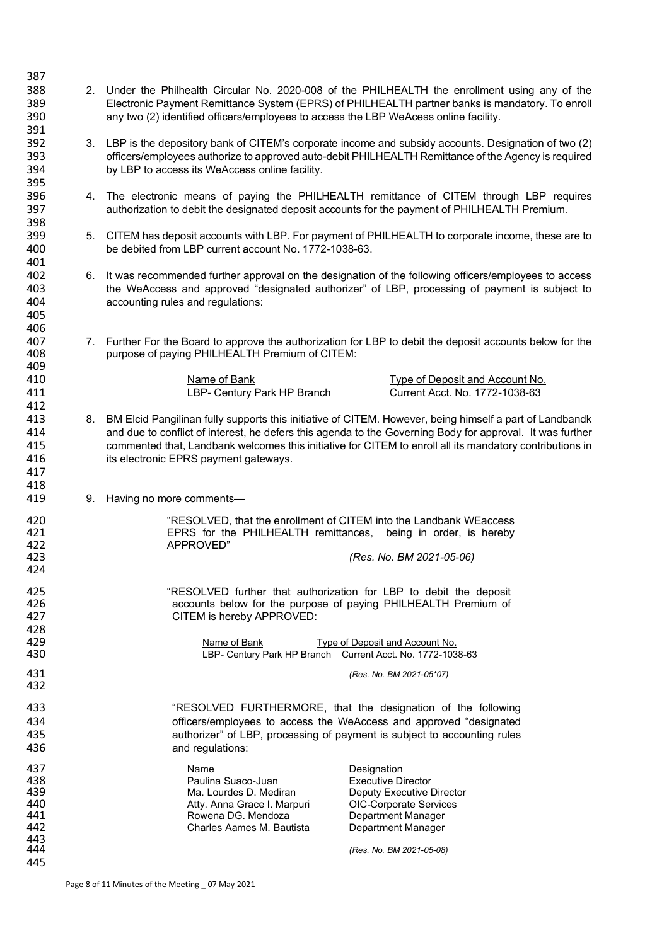| 387               |    |                                                                                                                                                                                                                                                                                         |
|-------------------|----|-----------------------------------------------------------------------------------------------------------------------------------------------------------------------------------------------------------------------------------------------------------------------------------------|
| 388<br>389<br>390 | 2. | Under the Philhealth Circular No. 2020-008 of the PHILHEALTH the enrollment using any of the<br>Electronic Payment Remittance System (EPRS) of PHILHEALTH partner banks is mandatory. To enroll<br>any two (2) identified officers/employees to access the LBP WeAcess online facility. |
| 391               |    |                                                                                                                                                                                                                                                                                         |
| 392               |    | 3. LBP is the depository bank of CITEM's corporate income and subsidy accounts. Designation of two (2)                                                                                                                                                                                  |
| 393               |    | officers/employees authorize to approved auto-debit PHILHEALTH Remittance of the Agency is required                                                                                                                                                                                     |
| 394               |    |                                                                                                                                                                                                                                                                                         |
|                   |    | by LBP to access its WeAccess online facility.                                                                                                                                                                                                                                          |
| 395               |    |                                                                                                                                                                                                                                                                                         |
| 396               |    | 4. The electronic means of paying the PHILHEALTH remittance of CITEM through LBP requires                                                                                                                                                                                               |
| 397               |    | authorization to debit the designated deposit accounts for the payment of PHILHEALTH Premium.                                                                                                                                                                                           |
| 398               |    |                                                                                                                                                                                                                                                                                         |
| 399               | 5. | CITEM has deposit accounts with LBP. For payment of PHILHEALTH to corporate income, these are to                                                                                                                                                                                        |
| 400               |    | be debited from LBP current account No. 1772-1038-63.                                                                                                                                                                                                                                   |
| 401               |    |                                                                                                                                                                                                                                                                                         |
| 402               | 6. | It was recommended further approval on the designation of the following officers/employees to access                                                                                                                                                                                    |
| 403               |    | the WeAccess and approved "designated authorizer" of LBP, processing of payment is subject to                                                                                                                                                                                           |
| 404               |    | accounting rules and regulations:                                                                                                                                                                                                                                                       |
| 405               |    |                                                                                                                                                                                                                                                                                         |
| 406               |    |                                                                                                                                                                                                                                                                                         |
| 407               |    | 7. Further For the Board to approve the authorization for LBP to debit the deposit accounts below for the                                                                                                                                                                               |
| 408               |    | purpose of paying PHILHEALTH Premium of CITEM:                                                                                                                                                                                                                                          |
| 409               |    |                                                                                                                                                                                                                                                                                         |
| 410               |    | Name of Bank<br>Type of Deposit and Account No.                                                                                                                                                                                                                                         |
| 411               |    | LBP- Century Park HP Branch<br>Current Acct. No. 1772-1038-63                                                                                                                                                                                                                           |
| 412               |    |                                                                                                                                                                                                                                                                                         |
| 413               | 8. | BM Elcid Pangilinan fully supports this initiative of CITEM. However, being himself a part of Landbandk                                                                                                                                                                                 |
| 414               |    | and due to conflict of interest, he defers this agenda to the Governing Body for approval. It was further                                                                                                                                                                               |
| 415               |    | commented that, Landbank welcomes this initiative for CITEM to enroll all its mandatory contributions in                                                                                                                                                                                |
| 416               |    | its electronic EPRS payment gateways.                                                                                                                                                                                                                                                   |
| 417               |    |                                                                                                                                                                                                                                                                                         |
| 418               |    |                                                                                                                                                                                                                                                                                         |
| 419               | 9. | Having no more comments-                                                                                                                                                                                                                                                                |
|                   |    |                                                                                                                                                                                                                                                                                         |
| 420               |    | "RESOLVED, that the enrollment of CITEM into the Landbank WEaccess                                                                                                                                                                                                                      |
| 421               |    | EPRS for the PHILHEALTH remittances,<br>being in order, is hereby                                                                                                                                                                                                                       |
| 422               |    | APPROVED"                                                                                                                                                                                                                                                                               |
| 423               |    | (Res. No. BM 2021-05-06)                                                                                                                                                                                                                                                                |
| 424               |    |                                                                                                                                                                                                                                                                                         |
| 425               |    | "RESOLVED further that authorization for LBP to debit the deposit                                                                                                                                                                                                                       |
| 426               |    | accounts below for the purpose of paying PHILHEALTH Premium of                                                                                                                                                                                                                          |
| 427               |    | CITEM is hereby APPROVED:                                                                                                                                                                                                                                                               |
| 428               |    |                                                                                                                                                                                                                                                                                         |
| 429               |    | Type of Deposit and Account No.<br>Name of Bank                                                                                                                                                                                                                                         |
| 430               |    | LBP- Century Park HP Branch Current Acct. No. 1772-1038-63                                                                                                                                                                                                                              |
|                   |    |                                                                                                                                                                                                                                                                                         |
| 431<br>432        |    | (Res. No. BM 2021-05*07)                                                                                                                                                                                                                                                                |
|                   |    |                                                                                                                                                                                                                                                                                         |
| 433               |    | "RESOLVED FURTHERMORE, that the designation of the following                                                                                                                                                                                                                            |
| 434               |    | officers/employees to access the WeAccess and approved "designated                                                                                                                                                                                                                      |
| 435               |    | authorizer" of LBP, processing of payment is subject to accounting rules                                                                                                                                                                                                                |
| 436               |    | and regulations:                                                                                                                                                                                                                                                                        |
|                   |    |                                                                                                                                                                                                                                                                                         |
| 437<br>438        |    | Name<br>Designation<br>Paulina Suaco-Juan                                                                                                                                                                                                                                               |
| 439               |    | <b>Executive Director</b><br>Ma. Lourdes D. Mediran<br>Deputy Executive Director                                                                                                                                                                                                        |
| 440               |    | Atty. Anna Grace I. Marpuri<br>OIC-Corporate Services                                                                                                                                                                                                                                   |
| 441               |    | Rowena DG. Mendoza<br>Department Manager                                                                                                                                                                                                                                                |
| 442               |    | Charles Aames M. Bautista<br>Department Manager                                                                                                                                                                                                                                         |
| 443               |    |                                                                                                                                                                                                                                                                                         |
| 444               |    | (Res. No. BM 2021-05-08)                                                                                                                                                                                                                                                                |
| 445               |    |                                                                                                                                                                                                                                                                                         |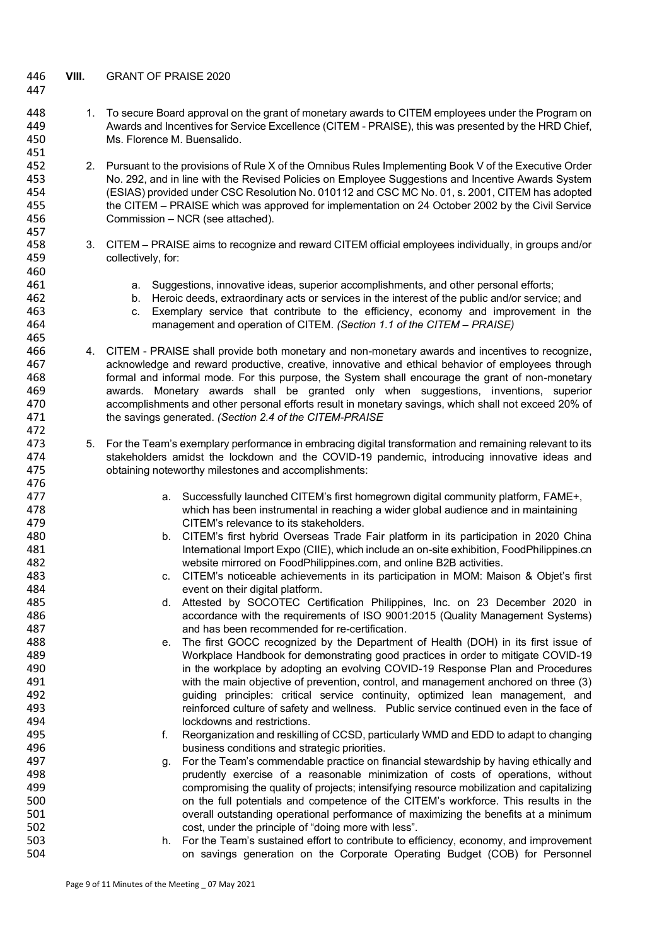## 446 **VIII.** GRANT OF PRAISE 2020

447

465

472

476

- 448 1. To secure Board approval on the grant of monetary awards to CITEM employees under the Program on 449 Awards and Incentives for Service Excellence (CITEM - PRAISE), this was presented by the HRD Chief, 450 Ms. Florence M. Buensalido.
- 451<br>452 2. Pursuant to the provisions of Rule X of the Omnibus Rules Implementing Book V of the Executive Order<br>453 No. 292, and in line with the Revised Policies on Employee Suggestions and Incentive Awards System 453 No. 292, and in line with the Revised Policies on Employee Suggestions and Incentive Awards System 454 (ESIAS) provided under CSC Resolution No. 010112 and CSC MC No. 01, s. 2001, CITEM has adopted 455 the CITEM – PRAISE which was approved for implementation on 24 October 2002 by the Civil Service<br>456 Commission – NCR (see attached) Commission – NCR (see attached).
- 457<br>458 458 3. CITEM – PRAISE aims to recognize and reward CITEM official employees individually, in groups and/or 459 collectively, for: 460<br>461
	- a. Suggestions, innovative ideas, superior accomplishments, and other personal efforts;
- 462 b. Heroic deeds, extraordinary acts or services in the interest of the public and/or service; and
- 463 c. Exemplary service that contribute to the efficiency, economy and improvement in the 464 management and operation of CITEM. (Section 1.1 of the CITEM PRAISE) 464 management and operation of CITEM. *(Section 1.1 of the CITEM – PRAISE)*
- 466 4. CITEM PRAISE shall provide both monetary and non-monetary awards and incentives to recognize, 467 acknowledge and reward productive, creative, innovative and ethical behavior of employees through 468 formal and informal mode. For this purpose, the System shall encourage the grant of non-monetary 469 awards. Monetary awards shall be granted only when suggestions, inventions, superior 470 accomplishments and other personal efforts result in monetary savings, which shall not exceed 20% of 471 the savings generated. (Section 2.4 of the CITEM-PRAISE 471 the savings generated. *(Section 2.4 of the CITEM-PRAISE*
- 473 5. For the Team's exemplary performance in embracing digital transformation and remaining relevant to its 474 stakeholders amidst the lockdown and the COVID-19 pandemic, introducing innovative ideas and 475 obtaining noteworthy milestones and accomplishments:
- a. Successfully launched CITEM's first homegrown digital community platform, FAME+,<br>478 which has been instrumental in reaching a wider global audience and in maintaining 478 **which has been instrumental in reaching** a wider global audience and in maintaining<br>479 **1988 - CITEM's relevance to its stakeholders**. CITEM's relevance to its stakeholders.
- 480 b. CITEM's first hybrid Overseas Trade Fair platform in its participation in 2020 China<br>481 International Import Expo (CIIF), which include an on-site exhibition. FoodPhilippines.cn 481 International Import Expo (CIIE), which include an on-site exhibition, FoodPhilippines.cn<br>482 International Import Expo FoodPhilippines.com, and online B2B activities. 482 website mirrored on FoodPhilippines.com, and online B2B activities.<br>483 C. CITEM's noticeable achievements in its participation in MOM: Mai
- 483 c. CITEM's noticeable achievements in its participation in MOM: Maison & Objet's first 484 event on their digital platform.
- 485 d. Attested by SOCOTEC Certification Philippines, Inc. on 23 December 2020 in<br>486 accordance with the requirements of ISO 9001:2015 (Quality Management Systems) accordance with the requirements of ISO 9001:2015 (Quality Management Systems) 487 and has been recommended for re-certification.
- 488 e. The first GOCC recognized by the Department of Health (DOH) in its first issue of 489 Workplace Handbook for demonstrating good practices in order to mitigate COVID-19<br>490 in the workplace by adopting an evolving COVID-19 Response Plan and Procedures 490 in the workplace by adopting an evolving COVID-19 Response Plan and Procedures<br>491 vith the main objective of prevention, control, and management anchored on three (3) with the main objective of prevention, control, and management anchored on three (3) 492 guiding principles: critical service continuity, optimized lean management, and 493 **reinforced culture of safety and wellness**. Public service continued even in the face of 494 lockdowns and restrictions.
- 495 f. Reorganization and reskilling of CCSD, particularly WMD and EDD to adapt to changing<br>496 **finally dependent on the analytic of the state of the conditions** and strategic priorities 496 business conditions and strategic priorities.<br>497 a. For the Team's commendable practice on fi
- q. For the Team's commendable practice on financial stewardship by having ethically and 498 prudently exercise of a reasonable minimization of costs of operations, without 499 compromising the quality of projects; intensifying resource mobilization and capitalizing<br>500 on the full potentials and competence of the CITEM's workforce. This results in the 500 500 on the full potentials and competence of the CITEM's workforce. This results in the<br>501 overall outstanding operational performance of maximizing the benefits at a minimum overall outstanding operational performance of maximizing the benefits at a minimum 502 cost, under the principle of "doing more with less".
- 503 h. For the Team's sustained effort to contribute to efficiency, economy, and improvement<br>504 on savings generation on the Corporate Operating Budget (COB) for Personnel 504 on savings generation on the Corporate Operating Budget (COB) for Personnel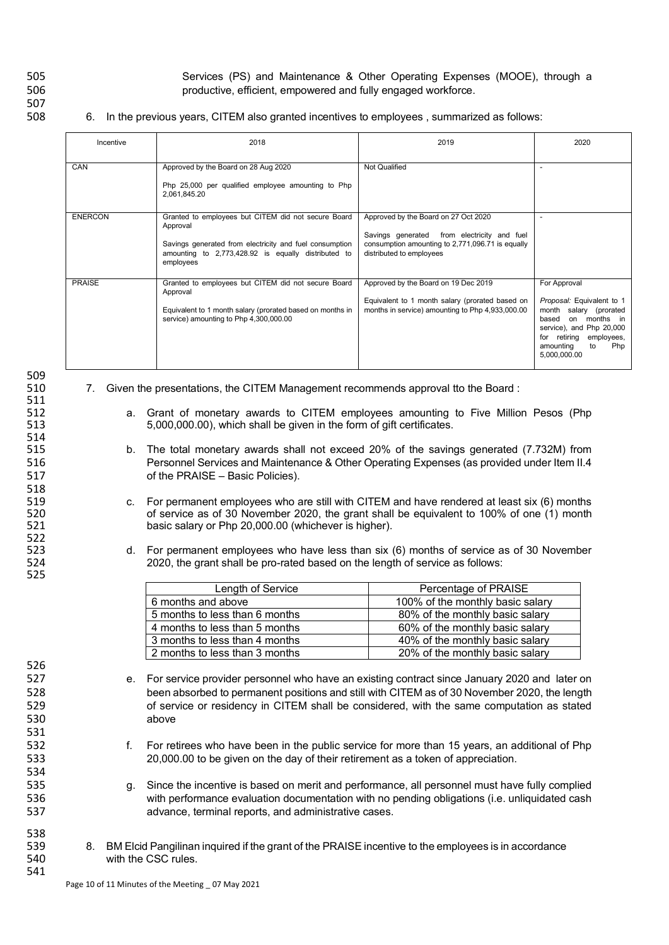507

505 Services (PS) and Maintenance & Other Operating Expenses (MOOE), through a<br>506 service of ficient, empowered and fully engaged workforce. productive, efficient, empowered and fully engaged workforce.

## 6. In the previous years, CITEM also granted incentives to employees, summarized as follows:

| Incentive      | 2018                                                                                                                                                                                           | 2019                                                                                                                                                                   | 2020                                                                                                                                                                                             |
|----------------|------------------------------------------------------------------------------------------------------------------------------------------------------------------------------------------------|------------------------------------------------------------------------------------------------------------------------------------------------------------------------|--------------------------------------------------------------------------------------------------------------------------------------------------------------------------------------------------|
| CAN            | Approved by the Board on 28 Aug 2020<br>Php 25,000 per qualified employee amounting to Php<br>2,061,845.20                                                                                     | Not Qualified                                                                                                                                                          | $\overline{\phantom{a}}$                                                                                                                                                                         |
| <b>ENERCON</b> | Granted to employees but CITEM did not secure Board<br>Approval<br>Savings generated from electricity and fuel consumption<br>amounting to 2,773,428.92 is equally distributed to<br>employees | Approved by the Board on 27 Oct 2020<br>from electricity and fuel<br>Savings generated<br>consumption amounting to 2,771,096.71 is equally<br>distributed to employees | $\overline{\phantom{a}}$                                                                                                                                                                         |
| <b>PRAISE</b>  | Granted to employees but CITEM did not secure Board<br>Approval<br>Equivalent to 1 month salary (prorated based on months in<br>service) amounting to Php 4,300,000.00                         | Approved by the Board on 19 Dec 2019<br>Equivalent to 1 month salary (prorated based on<br>months in service) amounting to Php 4,933,000.00                            | For Approval<br>Proposal: Equivalent to 1<br>month<br>salary (prorated<br>on months in<br>based<br>service), and Php 20,000<br>for retiring employees,<br>amounting<br>to<br>Php<br>5,000,000.00 |

| 509<br>510 | 7. | Given the presentations, the CITEM Management recommends approval tto the Board:                    |
|------------|----|-----------------------------------------------------------------------------------------------------|
| 511        |    |                                                                                                     |
| 512        |    | a. Grant of monetary awards to CITEM employees amounting to Five Million Pesos (Php                 |
| 513        |    | 5,000,000.00), which shall be given in the form of gift certificates.                               |
| 514        |    |                                                                                                     |
| 515        |    | b. The total monetary awards shall not exceed 20% of the savings generated (7.732M) from            |
| 516        |    | Personnel Services and Maintenance & Other Operating Expenses (as provided under Item II.4          |
| 517        |    | of the PRAISE - Basic Policies).                                                                    |
| 518        |    |                                                                                                     |
| 519        |    | For permanent employees who are still with CITEM and have rendered at least six (6) months<br>C.    |
| 520        |    | of service as of 30 November 2020, the grant shall be equivalent to 100% of one (1) month           |
| 521        |    | basic salary or Php 20,000.00 (whichever is higher).                                                |
| 522        |    |                                                                                                     |
| 523        |    | d. For permanent employees who have less than six (6) months of service as of 30 November           |
| 524        |    | 2020, the grant shall be pro-rated based on the length of service as follows:                       |
| 525        |    |                                                                                                     |
|            |    | Length of Service<br>Percentage of PRAISE                                                           |
|            |    | 6 months and above<br>100% of the monthly basic salary                                              |
|            |    | 5 months to less than 6 months<br>80% of the monthly basic salary                                   |
|            |    | 4 months to less than 5 months<br>60% of the monthly basic salary                                   |
|            |    | 3 months to less than 4 months<br>40% of the monthly basic salary                                   |
|            |    | 2 months to less than 3 months<br>20% of the monthly basic salary                                   |
| 526        |    |                                                                                                     |
| 527        |    | e. For service provider personnel who have an existing contract since January 2020 and later on     |
| 528        |    | been absorbed to permanent positions and still with CITEM as of 30 November 2020, the length        |
| 529        |    | of service or residency in CITEM shall be considered, with the same computation as stated           |
| 530        |    | above                                                                                               |
| 531        |    |                                                                                                     |
| 532        |    | f.<br>For retirees who have been in the public service for more than 15 years, an additional of Php |
| 533        |    | 20,000.00 to be given on the day of their retirement as a token of appreciation.                    |
| 534        |    |                                                                                                     |
| 535        |    | Since the incentive is based on merit and performance, all personnel must have fully complied<br>q. |
| 536        |    | with performance evaluation documentation with no pending obligations (i.e. unliquidated cash       |
| 537        |    | advance, terminal reports, and administrative cases.                                                |
|            |    |                                                                                                     |
| 538        |    |                                                                                                     |
| 539        | 8. | BM Elcid Pangilinan inquired if the grant of the PRAISE incentive to the employees is in accordance |
| 540        |    | with the CSC rules.                                                                                 |
| 541        |    |                                                                                                     |